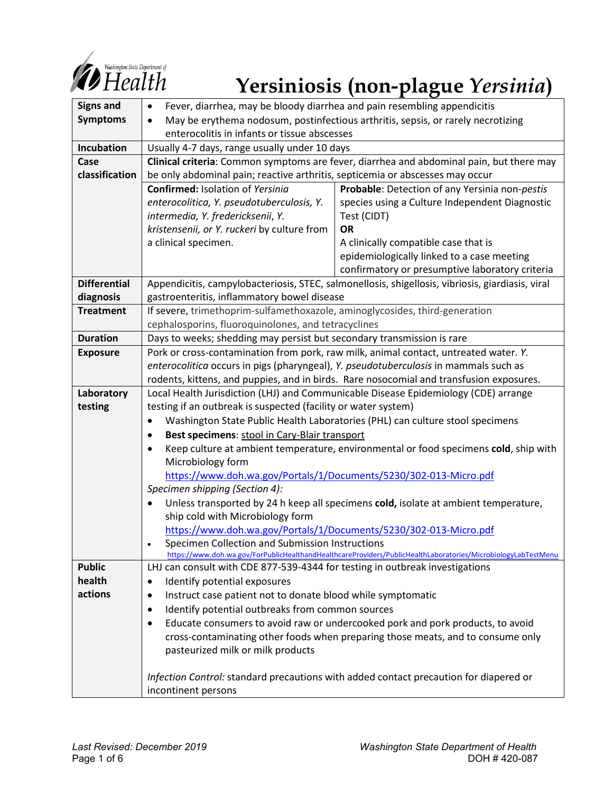

# **Yersiniosis (non-plague** *Yersinia***)**

| <b>Signs and</b>    | Fever, diarrhea, may be bloody diarrhea and pain resembling appendicitis<br>$\bullet$             |                                                                                                               |
|---------------------|---------------------------------------------------------------------------------------------------|---------------------------------------------------------------------------------------------------------------|
| <b>Symptoms</b>     | May be erythema nodosum, postinfectious arthritis, sepsis, or rarely necrotizing<br>$\bullet$     |                                                                                                               |
|                     | enterocolitis in infants or tissue abscesses                                                      |                                                                                                               |
| Incubation          | Usually 4-7 days, range usually under 10 days                                                     |                                                                                                               |
| Case                | Clinical criteria: Common symptoms are fever, diarrhea and abdominal pain, but there may          |                                                                                                               |
| classification      | be only abdominal pain; reactive arthritis, septicemia or abscesses may occur                     |                                                                                                               |
|                     | <b>Confirmed: Isolation of Yersinia</b>                                                           | Probable: Detection of any Yersinia non-pestis                                                                |
|                     | enterocolitica, Y. pseudotuberculosis, Y.                                                         | species using a Culture Independent Diagnostic                                                                |
|                     | intermedia, Y. fredericksenii, Y.                                                                 | Test (CIDT)                                                                                                   |
|                     | kristensenii, or Y. ruckeri by culture from                                                       | <b>OR</b>                                                                                                     |
|                     | a clinical specimen.                                                                              | A clinically compatible case that is                                                                          |
|                     |                                                                                                   | epidemiologically linked to a case meeting                                                                    |
|                     |                                                                                                   | confirmatory or presumptive laboratory criteria                                                               |
| <b>Differential</b> | Appendicitis, campylobacteriosis, STEC, salmonellosis, shigellosis, vibriosis, giardiasis, viral  |                                                                                                               |
| diagnosis           | gastroenteritis, inflammatory bowel disease                                                       |                                                                                                               |
| <b>Treatment</b>    | If severe, trimethoprim-sulfamethoxazole, aminoglycosides, third-generation                       |                                                                                                               |
|                     | cephalosporins, fluoroquinolones, and tetracyclines                                               |                                                                                                               |
| <b>Duration</b>     | Days to weeks; shedding may persist but secondary transmission is rare                            |                                                                                                               |
| <b>Exposure</b>     | Pork or cross-contamination from pork, raw milk, animal contact, untreated water. Y.              |                                                                                                               |
|                     | enterocolitica occurs in pigs (pharyngeal), Y. pseudotuberculosis in mammals such as              |                                                                                                               |
|                     | rodents, kittens, and puppies, and in birds. Rare nosocomial and transfusion exposures.           |                                                                                                               |
| Laboratory          | Local Health Jurisdiction (LHJ) and Communicable Disease Epidemiology (CDE) arrange               |                                                                                                               |
| testing             | testing if an outbreak is suspected (facility or water system)                                    |                                                                                                               |
|                     | Washington State Public Health Laboratories (PHL) can culture stool specimens<br>$\bullet$        |                                                                                                               |
|                     | Best specimens: stool in Cary-Blair transport<br>٠                                                |                                                                                                               |
|                     | Keep culture at ambient temperature, environmental or food specimens cold, ship with<br>$\bullet$ |                                                                                                               |
|                     | Microbiology form                                                                                 |                                                                                                               |
|                     | https://www.doh.wa.gov/Portals/1/Documents/5230/302-013-Micro.pdf                                 |                                                                                                               |
|                     | Specimen shipping (Section 4):                                                                    |                                                                                                               |
|                     | Unless transported by 24 h keep all specimens cold, isolate at ambient temperature,               |                                                                                                               |
|                     | ship cold with Microbiology form                                                                  |                                                                                                               |
|                     | https://www.doh.wa.gov/Portals/1/Documents/5230/302-013-Micro.pdf                                 |                                                                                                               |
|                     | Specimen Collection and Submission Instructions                                                   | https://www.doh.wa.gov/ForPublicHealthandHealthcareProviders/PublicHealthLaboratories/MicrobiologyLabTestMenu |
| <b>Public</b>       | LHJ can consult with CDE 877-539-4344 for testing in outbreak investigations                      |                                                                                                               |
| health              | Identify potential exposures<br>٠                                                                 |                                                                                                               |
| actions             | Instruct case patient not to donate blood while symptomatic<br>$\bullet$                          |                                                                                                               |
|                     | Identify potential outbreaks from common sources<br>$\bullet$                                     |                                                                                                               |
|                     | Educate consumers to avoid raw or undercooked pork and pork products, to avoid<br>٠               |                                                                                                               |
|                     | cross-contaminating other foods when preparing those meats, and to consume only                   |                                                                                                               |
|                     | pasteurized milk or milk products                                                                 |                                                                                                               |
|                     |                                                                                                   |                                                                                                               |
|                     | Infection Control: standard precautions with added contact precaution for diapered or             |                                                                                                               |
|                     | incontinent persons                                                                               |                                                                                                               |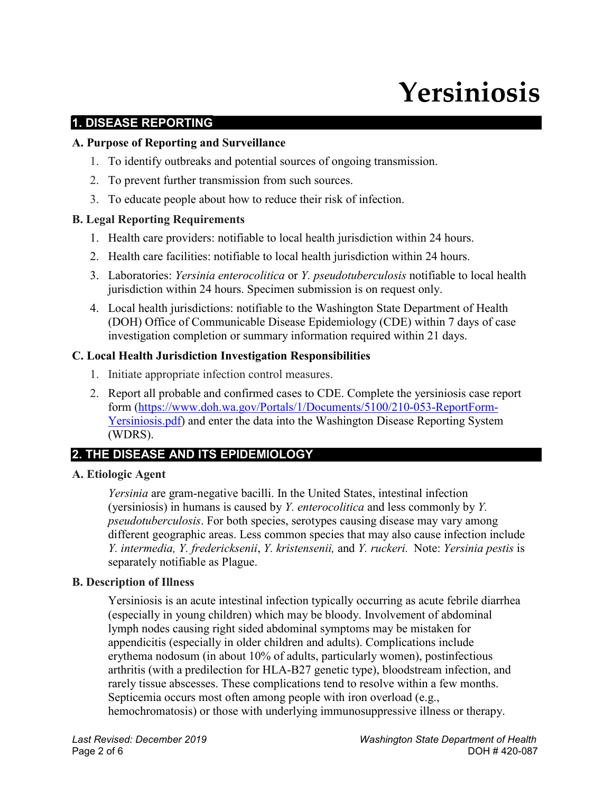# **Yersiniosis**

# **1. DISEASE REPORTING**

#### **A. Purpose of Reporting and Surveillance**

- 1. To identify outbreaks and potential sources of ongoing transmission.
- 2. To prevent further transmission from such sources.
- 3. To educate people about how to reduce their risk of infection.

# **B. Legal Reporting Requirements**

- 1. Health care providers: notifiable to local health jurisdiction within 24 hours.
- 2. Health care facilities: notifiable to local health jurisdiction within 24 hours.
- 3. Laboratories: *Yersinia enterocolitica* or *Y. pseudotuberculosis* notifiable to local health jurisdiction within 24 hours. Specimen submission is on request only.
- 4. Local health jurisdictions: notifiable to the Washington State Department of Health (DOH) Office of Communicable Disease Epidemiology (CDE) within 7 days of case investigation completion or summary information required within 21 days.

#### **C. Local Health Jurisdiction Investigation Responsibilities**

- 1. Initiate appropriate infection control measures.
- 2. Report all probable and confirmed cases to CDE. Complete the yersiniosis case report form [\(https://www.doh.wa.gov/Portals/1/Documents/5100/210-053-ReportForm-](https://www.doh.wa.gov/Portals/1/Documents/5100/210-053-ReportForm-Yersiniosis.pdf)[Yersiniosis.pdf\)](https://www.doh.wa.gov/Portals/1/Documents/5100/210-053-ReportForm-Yersiniosis.pdf) and enter the data into the Washington Disease Reporting System (WDRS).

# **2. THE DISEASE AND ITS EPIDEMIOLOGY**

# **A. Etiologic Agent**

*Yersinia* are gram-negative bacilli. In the United States, intestinal infection (yersiniosis) in humans is caused by *Y. enterocolitica* and less commonly by *Y. pseudotuberculosis*. For both species, serotypes causing disease may vary among different geographic areas. Less common species that may also cause infection include *Y. intermedia, Y. fredericksenii*, *Y. kristensenii,* and *Y. ruckeri.* Note: *Yersinia pestis* is separately notifiable as Plague.

# **B. Description of Illness**

Yersiniosis is an acute intestinal infection typically occurring as acute febrile diarrhea (especially in young children) which may be bloody. Involvement of abdominal lymph nodes causing right sided abdominal symptoms may be mistaken for appendicitis (especially in older children and adults). Complications include erythema nodosum (in about 10% of adults, particularly women), postinfectious arthritis (with a predilection for HLA-B27 genetic type), bloodstream infection, and rarely tissue abscesses. These complications tend to resolve within a few months. Septicemia occurs most often among people with iron overload (e.g., hemochromatosis) or those with underlying immunosuppressive illness or therapy.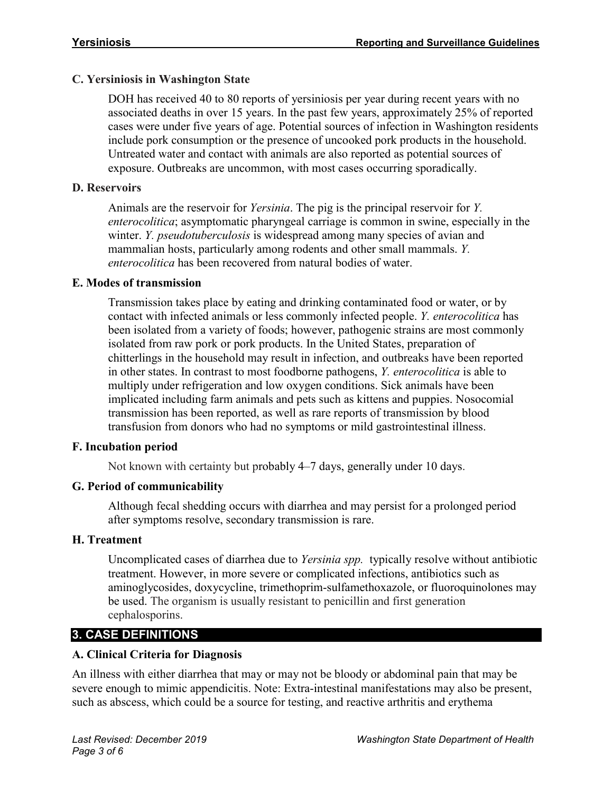#### **C. Yersiniosis in Washington State**

DOH has received 40 to 80 reports of yersiniosis per year during recent years with no associated deaths in over 15 years. In the past few years, approximately 25% of reported cases were under five years of age. Potential sources of infection in Washington residents include pork consumption or the presence of uncooked pork products in the household. Untreated water and contact with animals are also reported as potential sources of exposure. Outbreaks are uncommon, with most cases occurring sporadically.

#### **D. Reservoirs**

Animals are the reservoir for *Yersinia*. The pig is the principal reservoir for *Y. enterocolitica*; asymptomatic pharyngeal carriage is common in swine, especially in the winter. *Y. pseudotuberculosis* is widespread among many species of avian and mammalian hosts, particularly among rodents and other small mammals. *Y. enterocolitica* has been recovered from natural bodies of water.

#### **E. Modes of transmission**

Transmission takes place by eating and drinking contaminated food or water, or by contact with infected animals or less commonly infected people. *Y. enterocolitica* has been isolated from a variety of foods; however, pathogenic strains are most commonly isolated from raw pork or pork products. In the United States, preparation of chitterlings in the household may result in infection, and outbreaks have been reported in other states. In contrast to most foodborne pathogens, *Y. enterocolitica* is able to multiply under refrigeration and low oxygen conditions. Sick animals have been implicated including farm animals and pets such as kittens and puppies. Nosocomial transmission has been reported, as well as rare reports of transmission by blood transfusion from donors who had no symptoms or mild gastrointestinal illness.

#### **F. Incubation period**

Not known with certainty but probably 4–7 days, generally under 10 days.

#### **G. Period of communicability**

Although fecal shedding occurs with diarrhea and may persist for a prolonged period after symptoms resolve, secondary transmission is rare.

#### **H. Treatment**

Uncomplicated cases of diarrhea due to *Yersinia spp.* typically resolve without antibiotic treatment. However, in more severe or complicated infections, antibiotics such as aminoglycosides, doxycycline, trimethoprim-sulfamethoxazole, or fluoroquinolones may be used. The organism is usually resistant to penicillin and first generation cephalosporins.

# **3. CASE DEFINITIONS**

#### **A. Clinical Criteria for Diagnosis**

An illness with either diarrhea that may or may not be bloody or abdominal pain that may be severe enough to mimic appendicitis. Note: Extra-intestinal manifestations may also be present, such as abscess, which could be a source for testing, and reactive arthritis and erythema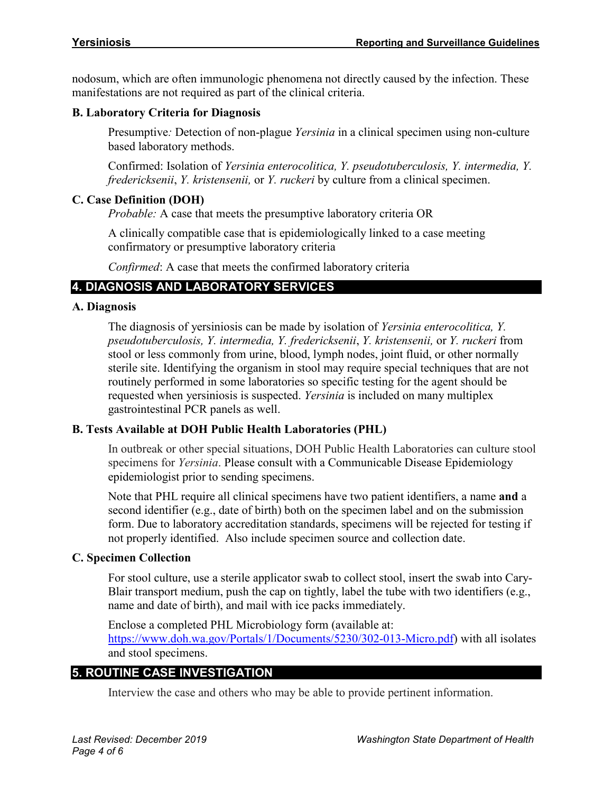nodosum, which are often immunologic phenomena not directly caused by the infection. These manifestations are not required as part of the clinical criteria.

#### **B. Laboratory Criteria for Diagnosis**

Presumptive*:* Detection of non-plague *Yersinia* in a clinical specimen using non-culture based laboratory methods.

Confirmed: Isolation of *Yersinia enterocolitica, Y. pseudotuberculosis, Y. intermedia, Y. fredericksenii*, *Y. kristensenii,* or *Y. ruckeri* by culture from a clinical specimen.

#### **C. Case Definition (DOH)**

*Probable:* A case that meets the presumptive laboratory criteria OR

A clinically compatible case that is epidemiologically linked to a case meeting confirmatory or presumptive laboratory criteria

*Confirmed*: A case that meets the confirmed laboratory criteria

# **4. DIAGNOSIS AND LABORATORY SERVICES**

#### **A. Diagnosis**

The diagnosis of yersiniosis can be made by isolation of *Yersinia enterocolitica, Y. pseudotuberculosis, Y. intermedia, Y. fredericksenii*, *Y. kristensenii,* or *Y. ruckeri* from stool or less commonly from urine, blood, lymph nodes, joint fluid, or other normally sterile site. Identifying the organism in stool may require special techniques that are not routinely performed in some laboratories so specific testing for the agent should be requested when yersiniosis is suspected. *Yersinia* is included on many multiplex gastrointestinal PCR panels as well.

#### **B. Tests Available at DOH Public Health Laboratories (PHL)**

In outbreak or other special situations, DOH Public Health Laboratories can culture stool specimens for *Yersinia*. Please consult with a Communicable Disease Epidemiology epidemiologist prior to sending specimens.

Note that PHL require all clinical specimens have two patient identifiers, a name **and** a second identifier (e.g., date of birth) both on the specimen label and on the submission form. Due to laboratory accreditation standards, specimens will be rejected for testing if not properly identified. Also include specimen source and collection date.

#### **C. Specimen Collection**

For stool culture, use a sterile applicator swab to collect stool, insert the swab into Cary-Blair transport medium, push the cap on tightly, label the tube with two identifiers (e.g., name and date of birth), and mail with ice packs immediately.

Enclose a completed PHL Microbiology form (available at: [https://www.doh.wa.gov/Portals/1/Documents/5230/302-013-Micro.pdf\)](https://www.doh.wa.gov/Portals/1/Documents/5230/302-013-Micro.pdf) with all isolates and stool specimens.

# **5. ROUTINE CASE INVESTIGATION**

Interview the case and others who may be able to provide pertinent information.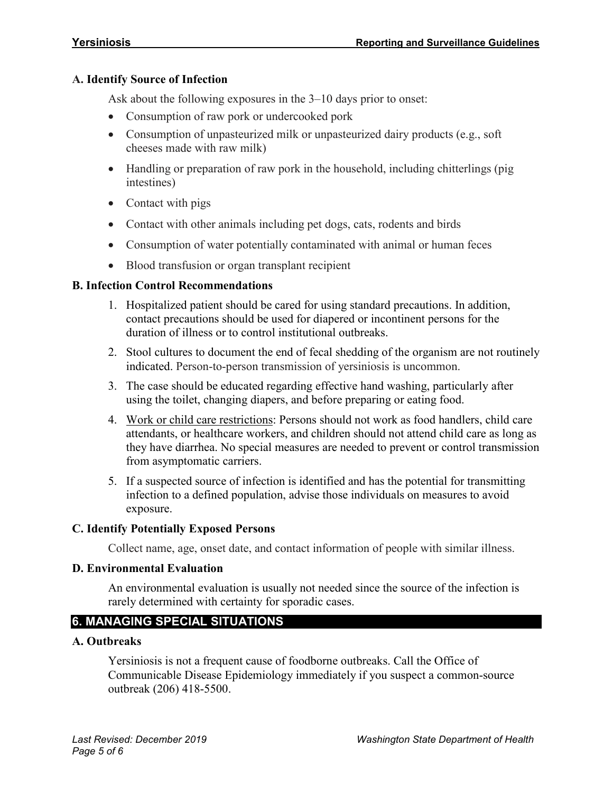#### **A. Identify Source of Infection**

Ask about the following exposures in the 3–10 days prior to onset:

- Consumption of raw pork or undercooked pork
- Consumption of unpasteurized milk or unpasteurized dairy products (e.g., soft cheeses made with raw milk)
- Handling or preparation of raw pork in the household, including chitterlings (pig intestines)
- Contact with pigs
- Contact with other animals including pet dogs, cats, rodents and birds
- Consumption of water potentially contaminated with animal or human feces
- Blood transfusion or organ transplant recipient

#### **B. Infection Control Recommendations**

- 1. Hospitalized patient should be cared for using standard precautions. In addition, contact precautions should be used for diapered or incontinent persons for the duration of illness or to control institutional outbreaks.
- 2. Stool cultures to document the end of fecal shedding of the organism are not routinely indicated. Person-to-person transmission of yersiniosis is uncommon.
- 3. The case should be educated regarding effective hand washing, particularly after using the toilet, changing diapers, and before preparing or eating food.
- 4. Work or child care restrictions: Persons should not work as food handlers, child care attendants, or healthcare workers, and children should not attend child care as long as they have diarrhea. No special measures are needed to prevent or control transmission from asymptomatic carriers.
- 5. If a suspected source of infection is identified and has the potential for transmitting infection to a defined population, advise those individuals on measures to avoid exposure.

#### **C. Identify Potentially Exposed Persons**

Collect name, age, onset date, and contact information of people with similar illness.

#### **D. Environmental Evaluation**

An environmental evaluation is usually not needed since the source of the infection is rarely determined with certainty for sporadic cases.

# **6. MANAGING SPECIAL SITUATIONS**

#### **A. Outbreaks**

Yersiniosis is not a frequent cause of foodborne outbreaks. Call the Office of Communicable Disease Epidemiology immediately if you suspect a common-source outbreak (206) 418-5500.